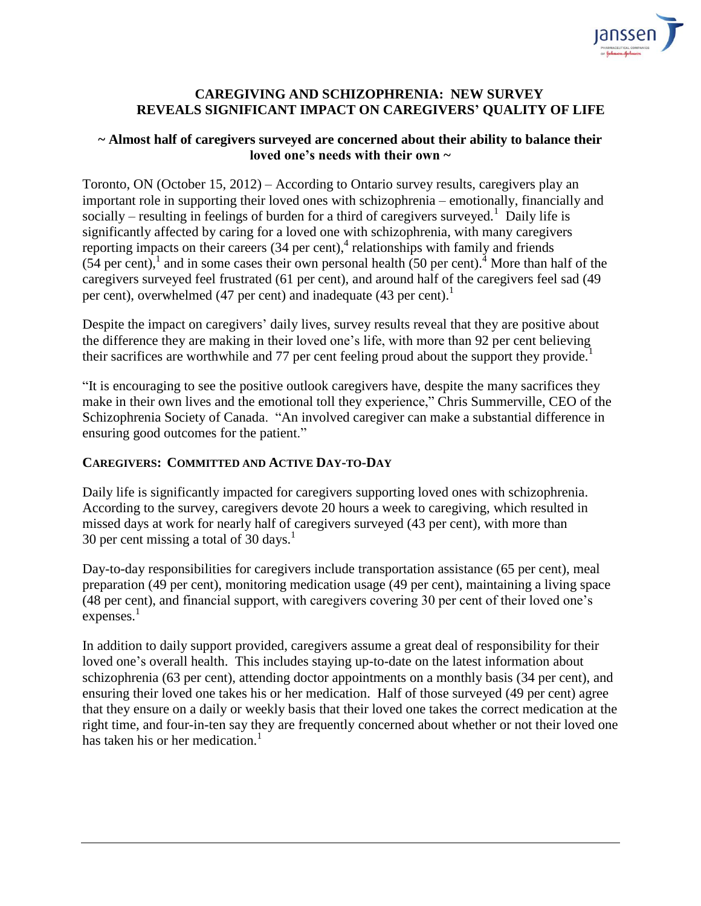

## **CAREGIVING AND SCHIZOPHRENIA: NEW SURVEY REVEALS SIGNIFICANT IMPACT ON CAREGIVERS' QUALITY OF LIFE**

### **~ Almost half of caregivers surveyed are concerned about their ability to balance their loved one's needs with their own ~**

Toronto, ON (October 15, 2012) – According to Ontario survey results, caregivers play an important role in supporting their loved ones with schizophrenia – emotionally, financially and socially – resulting in feelings of burden for a third of caregivers surveyed.<sup>1</sup> Daily life is significantly affected by caring for a loved one with schizophrenia, with many caregivers reporting impacts on their careers (34 per cent), 4 relationships with family and friends  $(54 \text{ per cent})$ , and in some cases their own personal health (50 per cent).<sup>4</sup> More than half of the caregivers surveyed feel frustrated (61 per cent), and around half of the caregivers feel sad (49 per cent), overwhelmed (47 per cent) and inadequate (43 per cent).<sup>1</sup>

Despite the impact on caregivers' daily lives, survey results reveal that they are positive about the difference they are making in their loved one's life, with more than 92 per cent believing their sacrifices are worthwhile and 77 per cent feeling proud about the support they provide.<sup>1</sup>

"It is encouraging to see the positive outlook caregivers have, despite the many sacrifices they make in their own lives and the emotional toll they experience," Chris Summerville, CEO of the Schizophrenia Society of Canada. "An involved caregiver can make a substantial difference in ensuring good outcomes for the patient."

## **CAREGIVERS: COMMITTED AND ACTIVE DAY-TO-DAY**

Daily life is significantly impacted for caregivers supporting loved ones with schizophrenia. According to the survey, caregivers devote 20 hours a week to caregiving, which resulted in missed days at work for nearly half of caregivers surveyed (43 per cent), with more than 30 per cent missing a total of 30 days.<sup>1</sup>

Day-to-day responsibilities for caregivers include transportation assistance (65 per cent), meal preparation (49 per cent), monitoring medication usage (49 per cent), maintaining a living space (48 per cent), and financial support, with caregivers covering 30 per cent of their loved one's expenses.<sup>1</sup>

In addition to daily support provided, caregivers assume a great deal of responsibility for their loved one's overall health. This includes staying up-to-date on the latest information about schizophrenia (63 per cent), attending doctor appointments on a monthly basis (34 per cent), and ensuring their loved one takes his or her medication. Half of those surveyed (49 per cent) agree that they ensure on a daily or weekly basis that their loved one takes the correct medication at the right time, and four-in-ten say they are frequently concerned about whether or not their loved one has taken his or her medication.<sup>1</sup>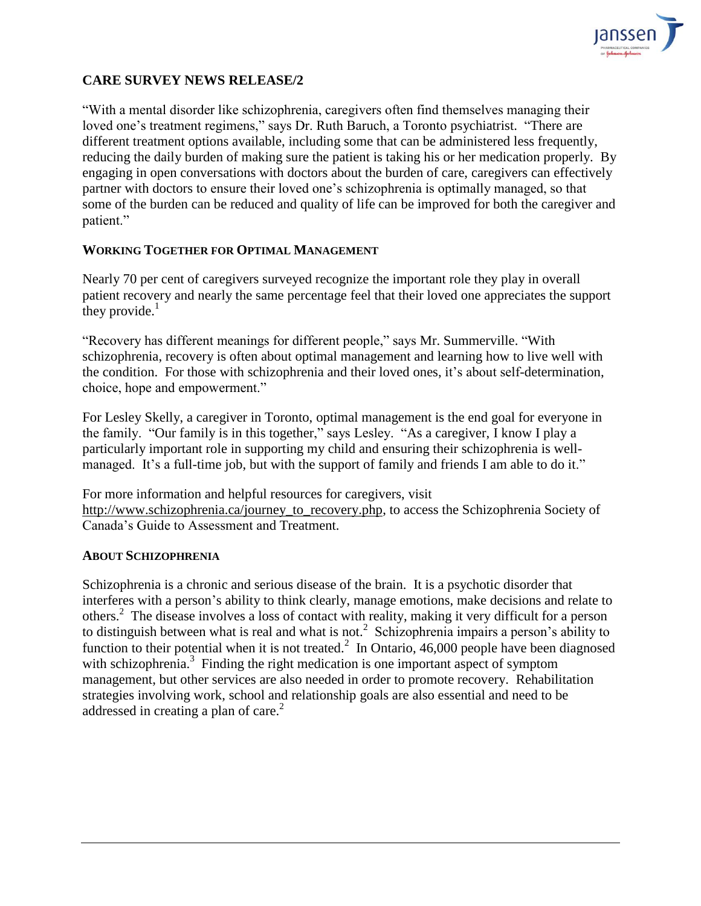

# **CARE SURVEY NEWS RELEASE/2**

"With a mental disorder like schizophrenia, caregivers often find themselves managing their loved one's treatment regimens," says Dr. Ruth Baruch, a Toronto psychiatrist. "There are different treatment options available, including some that can be administered less frequently, reducing the daily burden of making sure the patient is taking his or her medication properly. By engaging in open conversations with doctors about the burden of care, caregivers can effectively partner with doctors to ensure their loved one's schizophrenia is optimally managed, so that some of the burden can be reduced and quality of life can be improved for both the caregiver and patient."

### **WORKING TOGETHER FOR OPTIMAL MANAGEMENT**

Nearly 70 per cent of caregivers surveyed recognize the important role they play in overall patient recovery and nearly the same percentage feel that their loved one appreciates the support they provide. $<sup>1</sup>$ </sup>

"Recovery has different meanings for different people," says Mr. Summerville. "With schizophrenia, recovery is often about optimal management and learning how to live well with the condition. For those with schizophrenia and their loved ones, it's about self-determination, choice, hope and empowerment."

For Lesley Skelly, a caregiver in Toronto, optimal management is the end goal for everyone in the family. "Our family is in this together," says Lesley. "As a caregiver, I know I play a particularly important role in supporting my child and ensuring their schizophrenia is wellmanaged. It's a full-time job, but with the support of family and friends I am able to do it."

For more information and helpful resources for caregivers, visit [http://www.schizophrenia.ca/journey\\_to\\_recovery.php,](http://www.schizophrenia.ca/journey_to_recovery.php) to access the Schizophrenia Society of Canada's Guide to Assessment and Treatment.

### **ABOUT SCHIZOPHRENIA**

Schizophrenia is a chronic and serious disease of the brain. It is a psychotic disorder that interferes with a person's ability to think clearly, manage emotions, make decisions and relate to others.<sup>2</sup> The disease involves a loss of contact with reality, making it very difficult for a person to distinguish between what is real and what is not.<sup>2</sup> Schizophrenia impairs a person's ability to function to their potential when it is not treated.<sup>2</sup> In Ontario, 46,000 people have been diagnosed with schizophrenia.<sup>3</sup> Finding the right medication is one important aspect of symptom management, but other services are also needed in order to promote recovery. Rehabilitation strategies involving work, school and relationship goals are also essential and need to be addressed in creating a plan of care.<sup>2</sup>